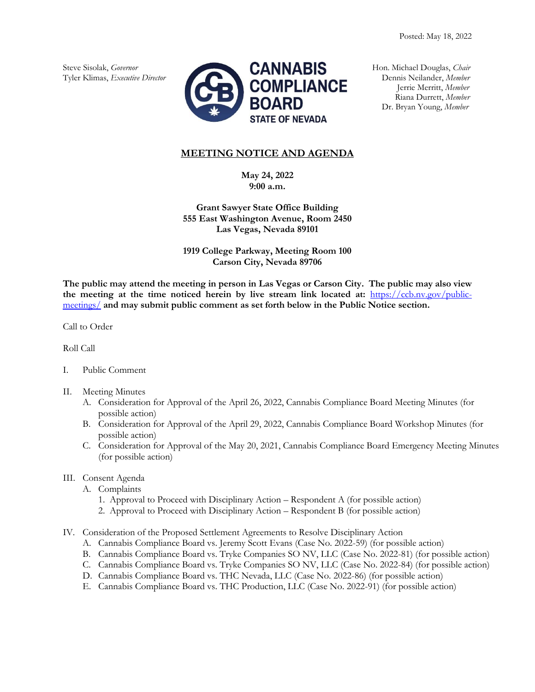

Riana Durrett, *Member* Dr. Bryan Young, *Member*

## **MEETING NOTICE AND AGENDA**

**May 24, 2022 9:00 a.m.**

**Grant Sawyer State Office Building 555 East Washington Avenue, Room 2450 Las Vegas, Nevada 89101**

**1919 College Parkway, Meeting Room 100 Carson City, Nevada 89706**

**The public may attend the meeting in person in Las Vegas or Carson City. The public may also view the meeting at the time noticed herein by live stream link located at:** [https://ccb.nv.gov/public](https://ccb.nv.gov/public-meetings/)[meetings/](https://ccb.nv.gov/public-meetings/) **and may submit public comment as set forth below in the Public Notice section.**

Call to Order

Roll Call

- I. Public Comment
- II. Meeting Minutes
	- A. Consideration for Approval of the April 26, 2022, Cannabis Compliance Board Meeting Minutes (for possible action)
	- B. Consideration for Approval of the April 29, 2022, Cannabis Compliance Board Workshop Minutes (for possible action)
	- C. Consideration for Approval of the May 20, 2021, Cannabis Compliance Board Emergency Meeting Minutes (for possible action)

## III. Consent Agenda

- A. Complaints
	- 1. Approval to Proceed with Disciplinary Action Respondent A (for possible action)
	- 2. Approval to Proceed with Disciplinary Action Respondent B (for possible action)
- IV. Consideration of the Proposed Settlement Agreements to Resolve Disciplinary Action
	- A. Cannabis Compliance Board vs. Jeremy Scott Evans (Case No. 2022-59) (for possible action)
	- B. Cannabis Compliance Board vs. Tryke Companies SO NV, LLC (Case No. 2022-81) (for possible action)
	- C. Cannabis Compliance Board vs. Tryke Companies SO NV, LLC (Case No. 2022-84) (for possible action)
	- D. Cannabis Compliance Board vs. THC Nevada, LLC (Case No. 2022-86) (for possible action)
	- E. Cannabis Compliance Board vs. THC Production, LLC (Case No. 2022-91) (for possible action)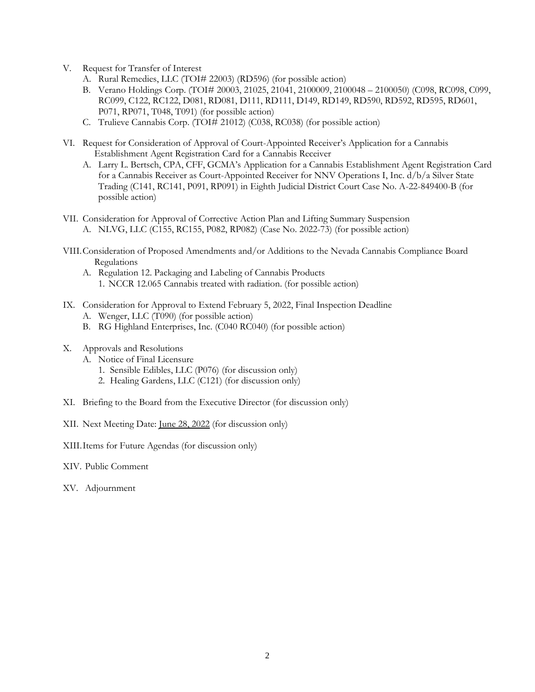- V. Request for Transfer of Interest
	- A. Rural Remedies, LLC (TOI# 22003) (RD596) (for possible action)
	- B. Verano Holdings Corp. (TOI# 20003, 21025, 21041, 2100009, 2100048 2100050) (C098, RC098, C099, RC099, C122, RC122, D081, RD081, D111, RD111, D149, RD149, RD590, RD592, RD595, RD601, P071, RP071, T048, T091) (for possible action)
	- C. Trulieve Cannabis Corp. (TOI# 21012) (C038, RC038) (for possible action)
- VI. Request for Consideration of Approval of Court-Appointed Receiver's Application for a Cannabis Establishment Agent Registration Card for a Cannabis Receiver
	- A. Larry L. Bertsch, CPA, CFF, GCMA's Application for a Cannabis Establishment Agent Registration Card for a Cannabis Receiver as Court-Appointed Receiver for NNV Operations I, Inc. d/b/a Silver State Trading (C141, RC141, P091, RP091) in Eighth Judicial District Court Case No. A-22-849400-B (for possible action)
- VII. Consideration for Approval of Corrective Action Plan and Lifting Summary Suspension A. NLVG, LLC (C155, RC155, P082, RP082) (Case No. 2022-73) (for possible action)
- VIII.Consideration of Proposed Amendments and/or Additions to the Nevada Cannabis Compliance Board Regulations
	- A. Regulation 12. Packaging and Labeling of Cannabis Products 1. NCCR 12.065 Cannabis treated with radiation. (for possible action)
- IX. Consideration for Approval to Extend February 5, 2022, Final Inspection Deadline
	- A. Wenger, LLC (T090) (for possible action)
	- B. RG Highland Enterprises, Inc. (C040 RC040) (for possible action)
- X. Approvals and Resolutions
	- A. Notice of Final Licensure
		- 1. Sensible Edibles, LLC (P076) (for discussion only)
		- 2. Healing Gardens, LLC (C121) (for discussion only)
- XI. Briefing to the Board from the Executive Director (for discussion only)

XII. Next Meeting Date: June 28, 2022 (for discussion only)

XIII.Items for Future Agendas (for discussion only)

- XIV. Public Comment
- XV. Adjournment